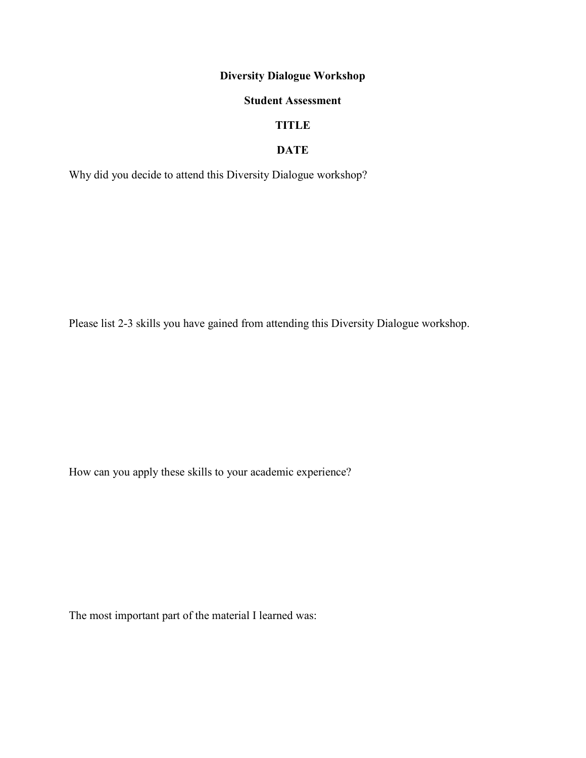# Diversity Dialogue Workshop

#### Student Assessment

# TITLE

#### DATE

Why did you decide to attend this Diversity Dialogue workshop?

Please list 2-3 skills you have gained from attending this Diversity Dialogue workshop.

How can you apply these skills to your academic experience?

The most important part of the material I learned was: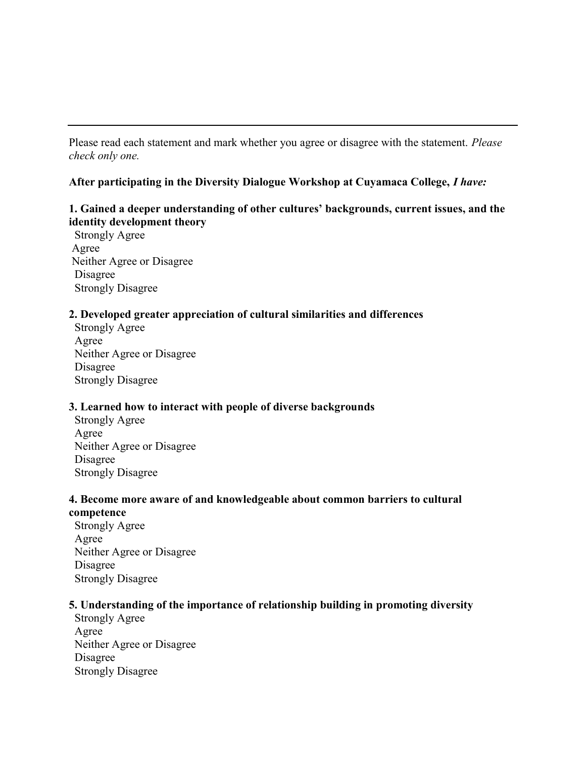Please read each statement and mark whether you agree or disagree with the statement. Please check only one.

#### After participating in the Diversity Dialogue Workshop at Cuyamaca College, I have:

### 1. Gained a deeper understanding of other cultures' backgrounds, current issues, and the identity development theory

 Strongly Agree Agree Neither Agree or Disagree Disagree Strongly Disagree

#### 2. Developed greater appreciation of cultural similarities and differences

 Strongly Agree Agree Neither Agree or Disagree Disagree Strongly Disagree

#### 3. Learned how to interact with people of diverse backgrounds

 Strongly Agree Agree Neither Agree or Disagree Disagree Strongly Disagree

#### 4. Become more aware of and knowledgeable about common barriers to cultural competence

 Strongly Agree Agree Neither Agree or Disagree Disagree Strongly Disagree

## 5. Understanding of the importance of relationship building in promoting diversity

 Strongly Agree Agree Neither Agree or Disagree Disagree Strongly Disagree